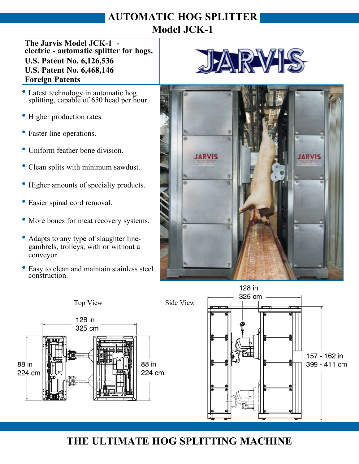## **AUTOMATIC HOG SPLITTER Model JCK-1**

**The Jarvis Model JCK-1 - electric - automatic splitter for hogs. U.S. Patent No. 6,126,536 U.S. Patent No. 6,468,146 Foreign Patents**

- Latest technology in automatic hog splitting, capable of 650 head per hour.
- Higher production rates.
- Faster line operations.
- Uniform feather bone division.
- Clean splits with minimum sawdust.
- Higher amounts of specialty products.
- Easier spinal cord removal.
- More bones for meat recovery systems.
- Adapts to any type of slaughter line gambrels, trolleys, with or without a conveyor.
- Easy to clean and maintain stainless steel construction.







## **THE ULTIMATE HOG SPLITTING MACHINE**